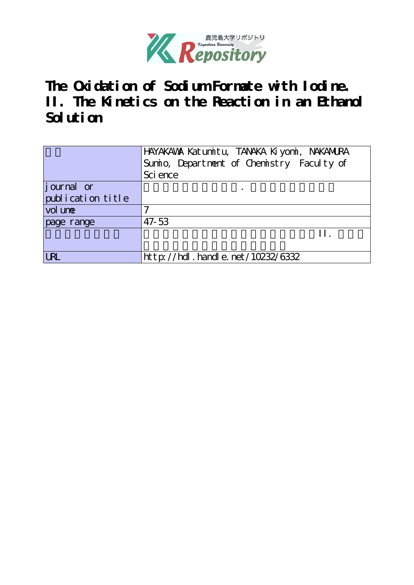

**The Oxidation of Sodium Formate with Iodine. II. The Kinetics on the Reaction in an Ethanol Solution**

|                   | HAYAKAWA Katumitu, TANAKA Kiyomi, NAKAMURA<br>Sumio, Department of Chemistry Faculty of |
|-------------------|-----------------------------------------------------------------------------------------|
|                   | Sci ence                                                                                |
|                   |                                                                                         |
| journal or        |                                                                                         |
| publication title |                                                                                         |
| vol une           |                                                                                         |
| page range        | 47-53                                                                                   |
|                   | H                                                                                       |
|                   |                                                                                         |
| URL               | http://hdl.handle.net/10232/6332                                                        |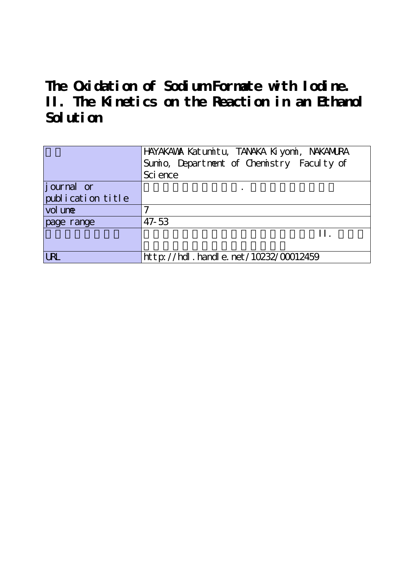**The Oxidation of Sodium Formate with Iodine. II. The Kinetics on the Reaction in an Ethanol Solution**

|                   | HAYAKAWA Katumitu, TANAKA Kiyomi, NAKANURA |  |  |  |  |
|-------------------|--------------------------------------------|--|--|--|--|
|                   | Sumio, Department of Chemistry Faculty of  |  |  |  |  |
|                   | Sci ence                                   |  |  |  |  |
| journal or        |                                            |  |  |  |  |
| publication title |                                            |  |  |  |  |
| vol une           |                                            |  |  |  |  |
| page range        | 47-53                                      |  |  |  |  |
|                   | H                                          |  |  |  |  |
|                   |                                            |  |  |  |  |
| <b>URL</b>        | http://hdl.handle.net/10232/00012459       |  |  |  |  |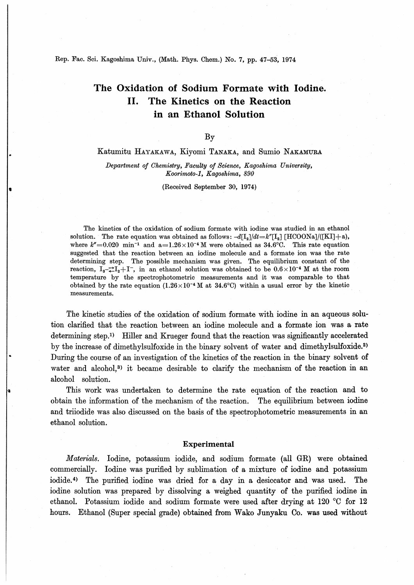Rep. Fac. Sci. Kagoshima Univ., (Math. Phys. Chem.) No. 7, pp. 47-53, 1974

# The Oxidation of Sodium Formate with Iodine. II. The Kinetics on the Reaction in an Ethanol Solution

By

## Katumitu Hayakawa, Kiyomi Tanaka, and Sumio Nakamura

Department of Chemistry, Faculty of Science, Kagoshima University, KoorimotO-l, Kagoshima, 890

(Received September 30, 1974)

The kinetics of the oxidation of sodium formate with iodine was studied in an ethanol solution. The rate equation was obtained as follows:  $-d[I_2]/dt = k''[I_2] [HCOONa]/([KI]+a)$ , where  $k''=0.020$  min<sup>-1</sup> and a=1.26×10<sup>-4</sup>M were obtained as 34.6°C. This rate equation suggested that the reaction between an iodine molecule and a formate ion was the rate determining step. The possible mechanism was given. The equilibrium constant of the reaction,  $I_3 - \frac{1}{\epsilon}I_2 + I^-$ , in an ethanol solution was obtained to be  $0.6 \times 10^{-4}$  M at the room temperature by the spectrophotometric measurements and it was comparable to that obtained by the rate equation  $(1.26\times10^{-4}$  M at 34.6°C) within a usual error by the kinetic measurements.

The kinetic studies of the oxidation of sodium formate with iodine in an aqueous solution clarified that the reaction between an iodine molecule and a formate ion was a rate determining step.<sup>1)</sup> Hiller and Krueger found that the reaction was significantly accelerated by the increase of dimethylsulfoxide in the binary solvent of water and dimethylsulfoxide.<sup>2)</sup> During the course of an investigation of the kinetics of the reaction in the binary solvent of water and alcohol,<sup>3)</sup> it became desirable to clarify the mechanism of the reaction in an alcohol solution.

This work was undertaken to determine the rate equation of the reaction and to obtain the information of the mechanism of the reaction. The equilibrium between iodine and triiodide was also discussed on the basis of the spectrophotometric measurements in an ethanol solution.

## Experimental

Materials. Iodine, potassium iodide, and sodium formate (all GK) were obtained commercially. Iodine was purified by sublimation of a mixture of iodine and potassium iodide.4) The purified iodine was dried for a day in a desiccator and was used. The iodine solution was prepared by dissolving a weighed quantity of the purified iodine in ethanol. Potassium iodide and sodium formate were used after drying at 120  $\degree$ C for 12 hours. Ethanol (Super special grade) obtained from Wako Junyaku Co. was used without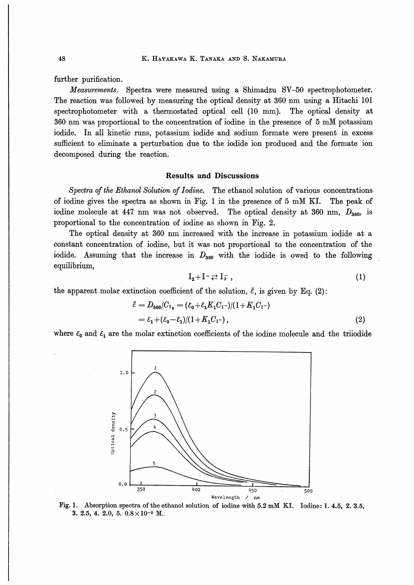further purification.

Measurements. Spectra were measured using a Shimadzu SV-50 spectrophotometer. The reaction was followed by measuring the optical density at 360 nm using a Hitachi 101 spectrophotometer with a thermostated optical cell (10 mm). The optical density at 360 nm was proportional to the concentration of iodine in the presence of 5 mM potassium iodide. In all kinetic runs, potassium iodide and sodium formate were present in excess sufficient to eliminate a perturbation due to the iodide ion produced and the formate ion decomposed during the reaction.

#### **Results and Discussions**

Spectra of the Ethanol Solution of Iodine. The ethanol solution of various concentrations of iodine gives the spectra as shown in Fig. 1 in the presence of 5 mM KI. The peak of iodine molecule at 447 nm was not observed. The optical density at 360 nm,  $D_{360}$  is proportional to the concentration of iodine as shown in Fig. 2.

The optical density at 360 nm increased with the increase in potassium iodide at a constant concentration of iodine, but it was not proportional to the concentration of the iodide. Assuming that the increase in  $D_{360}$  with the iodide is owed to the following equilibrium,

$$
I_2 + I^- \rightleftarrows I_3 \tag{1}
$$

the apparent molar extinction coefficient of the solution,  $\bar{\varepsilon}$ , is given by Eq. (2):

$$
\bar{\varepsilon} = D_{360}/C_{I_2} = (\varepsilon_0 + \varepsilon_1 K_1 C_{I} - )/(1 + K_1 C_{I} - )
$$
  
=  $\varepsilon_1 + (\varepsilon_0 - \varepsilon_1)/(1 + K_1 C_{I} - )$ , (2)

where  $\varepsilon_0$  and  $\varepsilon_1$  are the molar extinction coefficients of the iodine molecule and the triiodide



Fig. 1. Absorption spectra of the ethanol solution of iodine with 5.2 mM KI. Iodine: 1. 4.5, 2. 3.5, 3. 2.5, 4. 2.0, 5.  $0.8 \times 10^{-5}$  M.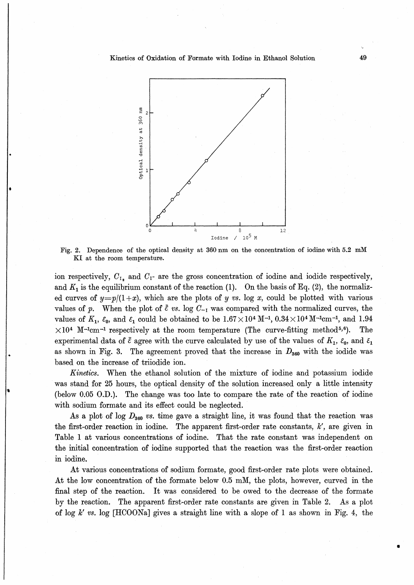

Fig. 2. Dependence of the optical density at 360 nm on the concentration of iodine with 5.2 mM KI at the room temperature.

ion respectively,  $C_{I_2}$  and  $C_{I}$  are the gross concentration of iodine and iodide respectively, and  $K_1$  is the equilibrium constant of the reaction (1). On the basis of Eq. (2), the normalized curves of  $y=p/(1+x)$ , which are the plots of y vs. log x, could be plotted with various values of p. When the plot of  $\bar{\varepsilon}$  vs. log  $C_{-1}$  was compared with the normalized curves, the values of  $K_1$ ,  $\varepsilon_0$ , and  $\varepsilon_1$  could be obtained to be  $1.67\times10^4$  M<sup>-1</sup>, 0.34 $\times10^4$  M<sup>-1</sup>cm<sup>-1</sup>, and 1.94  $\times10^4$  M<sup>-1</sup>cm<sup>-1</sup> respectively at the room temperature (The curve-fitting method<sup>5,6</sup>). The experimental data of  $\bar{\varepsilon}$  agree with the curve calculated by use of the values of  $K_1$ ,  $\varepsilon_0$ , and  $\varepsilon_1$ as shown in Fig. 3. The agreement proved that the increase in  $D_{360}$  with the iodide was based on the increase of triiodide ion.

Kinetics. When the ethanol solution of the mixture of iodine and potassium iodide was stand for 25 hours, the optical density of the solution increased only a little intensity (below 0.05 0.D.). The change was too late to compare the rate of the reaction of iodine with sodium formate and its effect could be neglected.

As a plot of log  $D_{360}$  vs. time gave a straight line, it was found that the reaction was the first-order reaction in iodine. The apparent first-order rate constants,  $k'$ , are given in Table 1 at various concentrations of iodine. That the rate constant was independent on the initial concentration of iodine supported that the reaction was the first-order reaction in iodine.

At various concentrations of sodium formate, good first-order rate plots were obtained. At the low concentration of the formate below 0.5 mM, the plots, however, curved in the final step of the reaction. It was considered to be owed to the decrease of the formate by the reaction. The apparent first-order rate constants are given in Table 2. As a plot of log k' vs. log [HCOONa] gives a straight line with a slope of 1 as shown in Fig. 4, the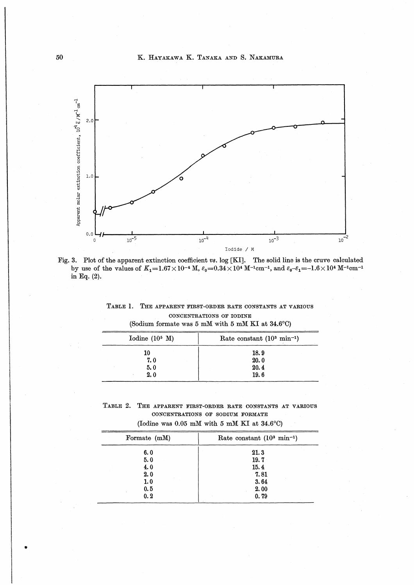K. HAYAKAWA K. TANAKA AND S. NAKAMURA



Fig. 3. Plot of the apparent extinction coefficient vs. log [KI]. The solid line is the cruve calculated by use of the values of  $K_1=1.67\times10^{-4}$  M,  $\varepsilon_0=0.34\times10^4$  M<sup>-1</sup>cm<sup>-1</sup>, and  $\varepsilon_0-\varepsilon_1=-1.6\times10^4$  M<sup>-1</sup>cm<sup>-1</sup> in Eq.  $(2)$ .

TABLE 1. THE APPARENT FIRST-ORDER RATE CONSTANTS AT VARIOUS CONCENTRATIONS OF IODINE

| Iodine $(10^5 \text{ M})$ | Rate constant $(10^3 \text{ min}^{-1})$ |  |
|---------------------------|-----------------------------------------|--|
| 10                        | 18.9                                    |  |
| 7.0                       | 20.0                                    |  |
| 5.0                       | 20.4                                    |  |
| 2.0                       | 19.6                                    |  |

(Sodium formate was 5 mM with 5 mM KI at 34.6°C)

TABLE 2. THE APPARENT FIRST-ORDER RATE CONSTANTS AT VARIOUS CONCENTRATIONS OF SODIUM FORMATE

| Formate (mM) | Rate constant $(10^3 \text{ min}^{-1})$ |  |
|--------------|-----------------------------------------|--|
| 6.0          | 21.3                                    |  |
| 5.0          | 19.7                                    |  |
| 4.0          | 15.4                                    |  |
| 2.0          | 7.81                                    |  |
| 1.0          | 3.64                                    |  |
| 0.5          | 2.00                                    |  |
| 0.2          | 0.79                                    |  |
|              |                                         |  |

(Iodine was  $0.05$  mM with 5 mM KI at 34.6°C)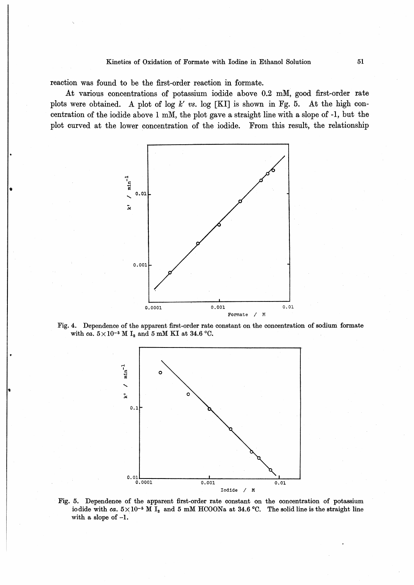reaction was found to be the first-order reaction in formate.

At various concentrations of potassium iodide above 0.2 mM, good first-order rate plots were obtained. A plot of log  $k'$  vs. log [KI] is shown in Fg. 5. At the high concentration of the iodide above 1 mM, the plot gave a straight line with a slope of -1, but the plot curved at the lower concentration of the iodide. From this result, the relationship



Fig. 4. Dependence of the apparent first-order rate constant on the concentration of sodium formate with ca.  $5 \times 10^{-5}$  M I<sub>2</sub> and 5 mM KI at 34.6 °C.



Fig. 5. Dependence of the apparent first-order rate constant on the concentration of potassium iodide with ca.  $5 \times 10^{-5}$  M I<sub>2</sub> and 5 mM HCOONa at 34.6 °C. The solid line is the straight line with a slope of  $-1$ .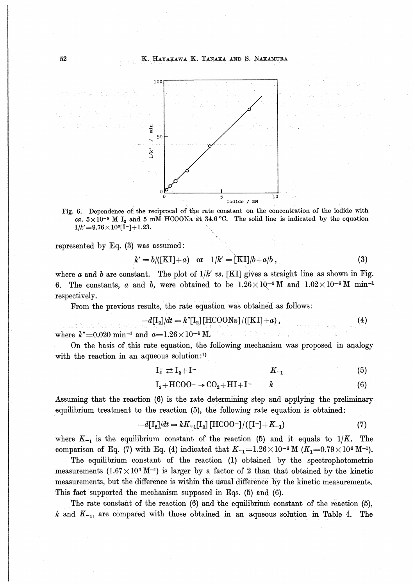

Fig. 6. Dependence of the reciprocal of the rate constant on the concentration of the iodide with ca.  $5\times10^{-5}$  M I<sub>2</sub> and 5 mM HCOONa at 34.6 °C. The solid line is indicated by the equation  $1/k' = 9.76 \times 10^{3}[1^{-}] + 1.23.$ 

represented by Eq.  $(3)$  was assumed:

$$
k' = b/([KI]+a)
$$
 or  $1/k' = [KI]/b + a/b$ , (3)

where a and b are constant. The plot of  $1/k'$  vs. [KI] gives a straight line as shown in Fig. 6. The constants, a and b, were obtained to be  $1.26 \times 10^{-4}$  M and  $1.02 \times 10^{-4}$  M min<sup>-1</sup> respectively.

From the previous results, the rate equation was obtained as follows :

$$
-d[\mathbf{I}_2]/dt = k''[\mathbf{I}_2][\text{HCOONa}]/([\text{KI}] + a), \qquad (4)
$$

where  $k''=0.020$  min<sup>-1</sup> and  $a=1.26\times10^{-4}$  M.

On the basis of this rate equation, the following mechanism was proposed in analogy with the reaction in an aqueous solution: $<sup>1</sup>$ )</sup>

さみに。

$$
I_{\overline{s}} \rightleftarrows I_2 + I^- \qquad \qquad K_{-1} \qquad \qquad (5)
$$

$$
I_2 + \text{HCOO}^- \rightarrow \text{CO}_2 + \text{HI} + \text{I}^- \qquad k \tag{6}
$$

Assuming that the reaction (6) is the rate determining step and applying the preliminary equilibrium treatment to the reaction  $(5)$ , the following rate equation is obtained:

$$
-d[\mathbf{I}_2]/dt = kK_{-1}[\mathbf{I}_2] [\text{HCOO}^-]/([\mathbf{I}^-] + K_{-1}) \tag{7}
$$

where  $K_{-1}$  is the equilibrium constant of the reaction (5) and it equals to  $1/K$ . The comparison of Eq. (7) with Eq. (4) indicated that  $K_{-1}=1.26\times10^{-4}$  M  $(K_{1}=0.79\times10^{4}$  M<sup>-1</sup>).

The equilibrium constant of the reaction (1) obtained by the spectrophotometric measurements  $(1.67 \times 10^4 \text{ M}^{-1})$  is larger by a factor of 2 than that obtained by the kinetic measurements, but the difference is within the usual difference by the kinetic measurements. This fact supported the mechanism supposed in Eqs. (5) and (6).

The rate constant of the reaction  $(6)$  and the equilibrium constant of the reaction  $(5)$ ,  $k$  and  $K_{-1}$ , are compared with those obtained in an aqueous solution in Table 4. The